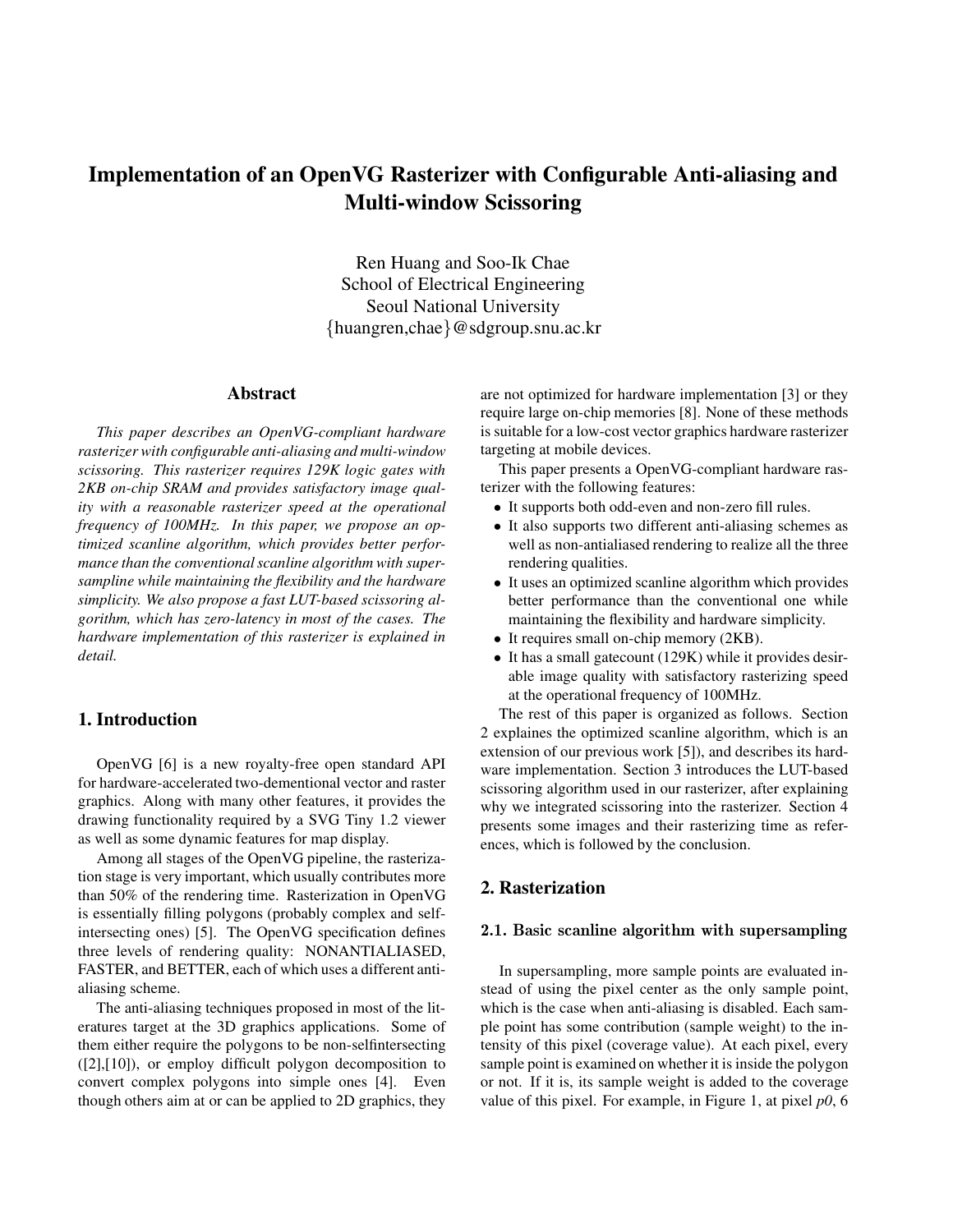# **Implementation of an OpenVG Rasterizer with Configurable Anti-aliasing and Multi-window Scissoring**

Ren Huang and Soo-Ik Chae School of Electrical Engineering Seoul National University {huangren,chae}@sdgroup.snu.ac.kr

## **Abstract**

*This paper describes an OpenVG-compliant hardware rasterizer with configurable anti-aliasing and multi-window scissoring. This rasterizer requires 129K logic gates with 2KB on-chip SRAM and provides satisfactory image quality with a reasonable rasterizer speed at the operational frequency of 100MHz. In this paper, we propose an optimized scanline algorithm, which provides better performance than the conventional scanline algorithm with supersampline while maintaining the flexibility and the hardware simplicity. We also propose a fast LUT-based scissoring algorithm, which has zero-latency in most of the cases. The hardware implementation of this rasterizer is explained in detail.*

# **1. Introduction**

OpenVG [6] is a new royalty-free open standard API for hardware-accelerated two-dementional vector and raster graphics. Along with many other features, it provides the drawing functionality required by a SVG Tiny 1.2 viewer as well as some dynamic features for map display.

Among all stages of the OpenVG pipeline, the rasterization stage is very important, which usually contributes more than 50% of the rendering time. Rasterization in OpenVG is essentially filling polygons (probably complex and selfintersecting ones) [5]. The OpenVG specification defines three levels of rendering quality: NONANTIALIASED, FASTER, and BETTER, each of which uses a different antialiasing scheme.

The anti-aliasing techniques proposed in most of the literatures target at the 3D graphics applications. Some of them either require the polygons to be non-selfintersecting ([2],[10]), or employ difficult polygon decomposition to convert complex polygons into simple ones [4]. Even though others aim at or can be applied to 2D graphics, they are not optimized for hardware implementation [3] or they require large on-chip memories [8]. None of these methods is suitable for a low-cost vector graphics hardware rasterizer targeting at mobile devices.

This paper presents a OpenVG-compliant hardware rasterizer with the following features:

- It supports both odd-even and non-zero fill rules.
- It also supports two different anti-aliasing schemes as well as non-antialiased rendering to realize all the three rendering qualities.
- It uses an optimized scanline algorithm which provides better performance than the conventional one while maintaining the flexibility and hardware simplicity.
- It requires small on-chip memory (2KB).
- It has a small gatecount (129K) while it provides desirable image quality with satisfactory rasterizing speed at the operational frequency of 100MHz.

The rest of this paper is organized as follows. Section 2 explaines the optimized scanline algorithm, which is an extension of our previous work [5]), and describes its hardware implementation. Section 3 introduces the LUT-based scissoring algorithm used in our rasterizer, after explaining why we integrated scissoring into the rasterizer. Section 4 presents some images and their rasterizing time as references, which is followed by the conclusion.

# **2. Rasterization**

## **2.1. Basic scanline algorithm with supersampling**

In supersampling, more sample points are evaluated instead of using the pixel center as the only sample point, which is the case when anti-aliasing is disabled. Each sample point has some contribution (sample weight) to the intensity of this pixel (coverage value). At each pixel, every sample point is examined on whether it is inside the polygon or not. If it is, its sample weight is added to the coverage value of this pixel. For example, in Figure 1, at pixel *p0*, 6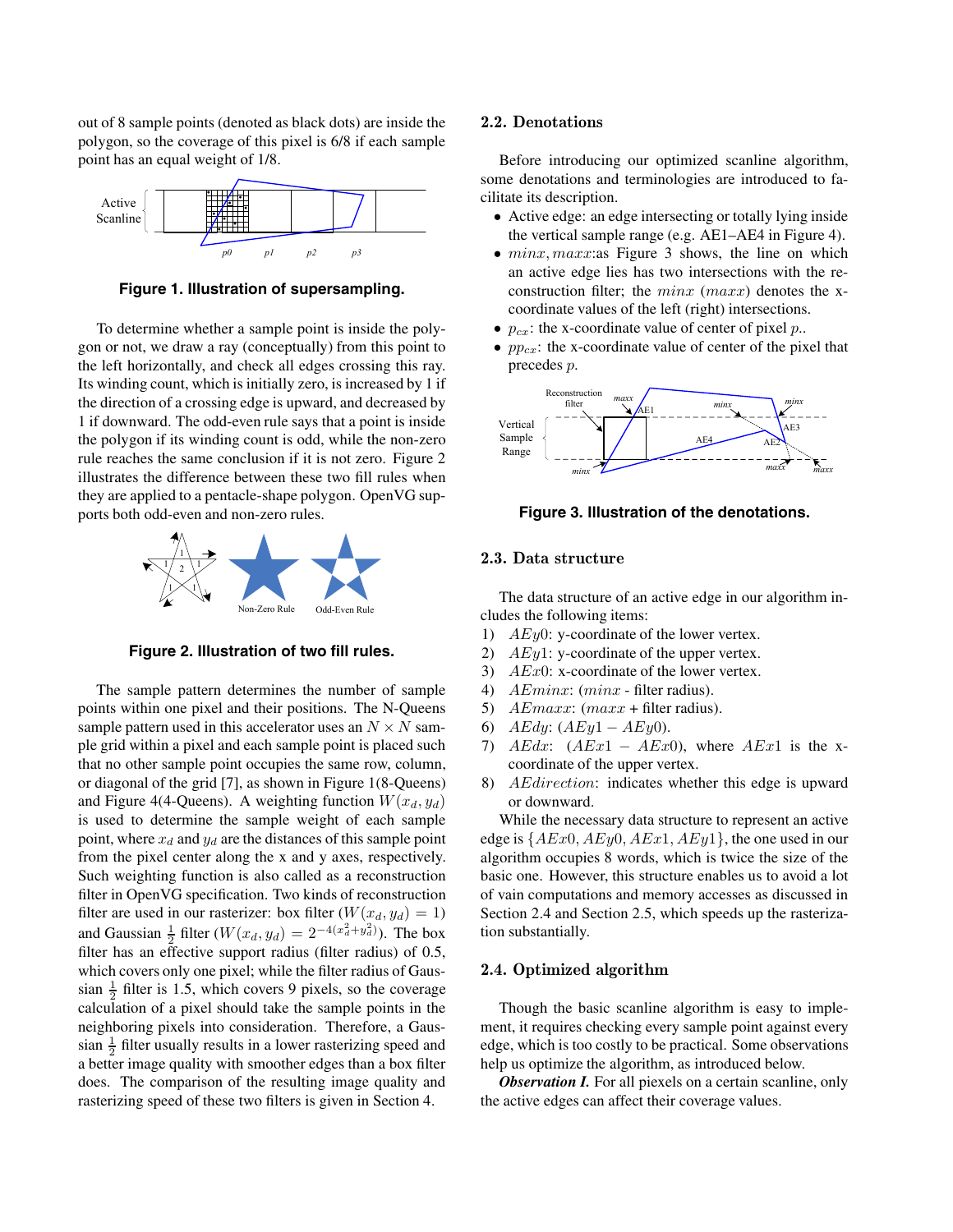out of 8 sample points (denoted as black dots) are inside the polygon, so the coverage of this pixel is 6/8 if each sample point has an equal weight of 1/8.



**Figure 1. Illustration of supersampling.**

To determine whether a sample point is inside the polygon or not, we draw a ray (conceptually) from this point to the left horizontally, and check all edges crossing this ray. Its winding count, which is initially zero, is increased by 1 if the direction of a crossing edge is upward, and decreased by 1 if downward. The odd-even rule says that a point is inside the polygon if its winding count is odd, while the non-zero rule reaches the same conclusion if it is not zero. Figure 2 illustrates the difference between these two fill rules when they are applied to a pentacle-shape polygon. OpenVG supports both odd-even and non-zero rules.



**Figure 2. Illustration of two fill rules.**

The sample pattern determines the number of sample points within one pixel and their positions. The N-Queens sample pattern used in this accelerator uses an  $N \times N$  sample grid within a pixel and each sample point is placed such that no other sample point occupies the same row, column, or diagonal of the grid [7], as shown in Figure 1(8-Queens) and Figure 4(4-Queens). A weighting function  $W(x_d, y_d)$ is used to determine the sample weight of each sample point, where  $x_d$  and  $y_d$  are the distances of this sample point from the pixel center along the x and y axes, respectively. Such weighting function is also called as a reconstruction filter in OpenVG specification. Two kinds of reconstruction filter are used in our rasterizer: box filter  $(W(x_d, y_d) = 1)$ and Gaussian  $\frac{1}{2}$  filter (*W*(*x<sub>d</sub>*, *y<sub>d</sub>*) = 2<sup>*-*4(*x*<sup>2</sup><sub>*d*</sub>+*y*<sup>2</sup><sub>*d*</sub>)</sub>). The box</sup> filter has an effective support radius (filter radius) of 0.5, which covers only one pixel; while the filter radius of Gaussian  $\frac{1}{2}$  filter is 1.5, which covers 9 pixels, so the coverage calculation of a pixel should take the sample points in the neighboring pixels into consideration. Therefore, a Gaussian  $\frac{1}{2}$  filter usually results in a lower rasterizing speed and a better image quality with smoother edges than a box filter does. The comparison of the resulting image quality and rasterizing speed of these two filters is given in Section 4.

#### **2.2. Denotations**

Before introducing our optimized scanline algorithm, some denotations and terminologies are introduced to facilitate its description.

- Active edge: an edge intersecting or totally lying inside the vertical sample range (e.g. AE1–AE4 in Figure 4).
- *minx, maxx:as* Figure 3 shows, the line on which an active edge lies has two intersections with the reconstruction filter; the *minx* (*maxx*) denotes the xcoordinate values of the left (right) intersections.
- *pcx*: the x-coordinate value of center of pixel *p*..
- *pp<sub>cx</sub>*: the x-coordinate value of center of the pixel that precedes *p*.



#### **Figure 3. Illustration of the denotations.**

## **2.3. Data structure**

The data structure of an active edge in our algorithm includes the following items:

- 1) *AEy*0: y-coordinate of the lower vertex.
- 2) *AEy*1: y-coordinate of the upper vertex.
- 3) *AEx*0: x-coordinate of the lower vertex.
- 4) *AEminx*: (*minx* filter radius).
- 5) *AEmaxx*: (*maxx* + filter radius).
- 6) *AEdy*: (*AEy*1 − *AEy*0).
- 7) *AEdx*: (*AEx*1 − *AEx*0), where *AEx*1 is the xcoordinate of the upper vertex.
- 8) *AEdirection*: indicates whether this edge is upward or downward.

While the necessary data structure to represent an active edge is {*AEx*0*, AEy*0*, AEx*1*, AEy*1}, the one used in our algorithm occupies 8 words, which is twice the size of the basic one. However, this structure enables us to avoid a lot of vain computations and memory accesses as discussed in Section 2.4 and Section 2.5, which speeds up the rasterization substantially.

## **2.4. Optimized algorithm**

Though the basic scanline algorithm is easy to implement, it requires checking every sample point against every edge, which is too costly to be practical. Some observations help us optimize the algorithm, as introduced below.

*Observation I.* For all piexels on a certain scanline, only the active edges can affect their coverage values.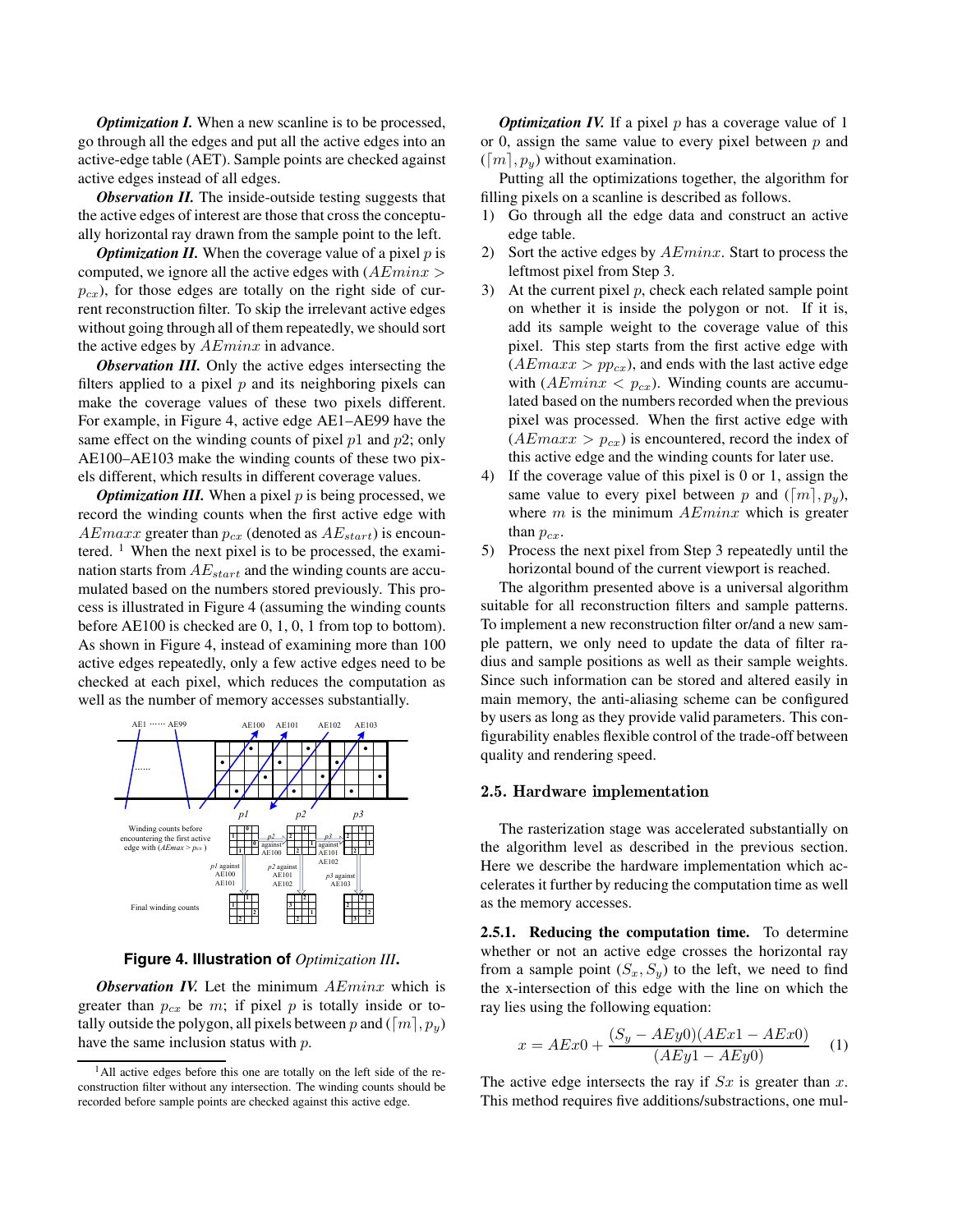*Optimization I.* When a new scanline is to be processed, go through all the edges and put all the active edges into an active-edge table (AET). Sample points are checked against active edges instead of all edges.

*Observation II.* The inside-outside testing suggests that the active edges of interest are those that cross the conceptually horizontal ray drawn from the sample point to the left.

*Optimization II.* When the coverage value of a pixel *p* is computed, we ignore all the active edges with (*AEminx >*  $p_{cx}$ ), for those edges are totally on the right side of current reconstruction filter. To skip the irrelevant active edges without going through all of them repeatedly, we should sort the active edges by *AEminx* in advance.

*Observation III.* Only the active edges intersecting the filters applied to a pixel *p* and its neighboring pixels can make the coverage values of these two pixels different. For example, in Figure 4, active edge AE1–AE99 have the same effect on the winding counts of pixel *p*1 and *p*2; only AE100–AE103 make the winding counts of these two pixels different, which results in different coverage values.

*Optimization III.* When a pixel *p* is being processed, we record the winding counts when the first active edge with *AEmaxx* greater than  $p_{cx}$  (denoted as  $AE_{start}$ ) is encountered.  $\frac{1}{1}$  When the next pixel is to be processed, the examination starts from *AEstart* and the winding counts are accumulated based on the numbers stored previously. This process is illustrated in Figure 4 (assuming the winding counts before AE100 is checked are 0, 1, 0, 1 from top to bottom). As shown in Figure 4, instead of examining more than 100 active edges repeatedly, only a few active edges need to be checked at each pixel, which reduces the computation as well as the number of memory accesses substantially.



**Figure 4. Illustration of** *Optimization III***.**

*Observation IV.* Let the minimum *AEminx* which is greater than  $p_{cx}$  be *m*; if pixel *p* is totally inside or totally outside the polygon, all pixels between p and  $([m], p_y)$ have the same inclusion status with *p*.

*Optimization IV.* If a pixel *p* has a coverage value of 1 or 0, assign the same value to every pixel between *p* and  $(\lceil m \rceil, p_y)$  without examination.

Putting all the optimizations together, the algorithm for filling pixels on a scanline is described as follows.

- 1) Go through all the edge data and construct an active edge table.
- 2) Sort the active edges by *AEminx*. Start to process the leftmost pixel from Step 3.
- 3) At the current pixel *p*, check each related sample point on whether it is inside the polygon or not. If it is, add its sample weight to the coverage value of this pixel. This step starts from the first active edge with  $(AEmaxx > pp_{cx})$ , and ends with the last active edge with  $(AEminx < p_{cx})$ . Winding counts are accumulated based on the numbers recorded when the previous pixel was processed. When the first active edge with  $(AEmaxx > p_{cx})$  is encountered, record the index of this active edge and the winding counts for later use.
- 4) If the coverage value of this pixel is 0 or 1, assign the same value to every pixel between p and  $([m], p_y)$ , where *m* is the minimum *AEminx* which is greater than  $p_{cx}$ .
- 5) Process the next pixel from Step 3 repeatedly until the horizontal bound of the current viewport is reached.

The algorithm presented above is a universal algorithm suitable for all reconstruction filters and sample patterns. To implement a new reconstruction filter or/and a new sample pattern, we only need to update the data of filter radius and sample positions as well as their sample weights. Since such information can be stored and altered easily in main memory, the anti-aliasing scheme can be configured by users as long as they provide valid parameters. This configurability enables flexible control of the trade-off between quality and rendering speed.

#### **2.5. Hardware implementation**

The rasterization stage was accelerated substantially on the algorithm level as described in the previous section. Here we describe the hardware implementation which accelerates it further by reducing the computation time as well as the memory accesses.

**2.5.1. Reducing the computation time.** To determine whether or not an active edge crosses the horizontal ray from a sample point  $(S_x, S_y)$  to the left, we need to find the x-intersection of this edge with the line on which the ray lies using the following equation:

$$
x = AEx0 + \frac{(S_y - AEy0)(AEx1 - AEx0)}{(AEy1 - AEy0)}
$$
 (1)

The active edge intersects the ray if *Sx* is greater than *x*. This method requires five additions/substractions, one mul-

<sup>&</sup>lt;sup>1</sup>All active edges before this one are totally on the left side of the reconstruction filter without any intersection. The winding counts should be recorded before sample points are checked against this active edge.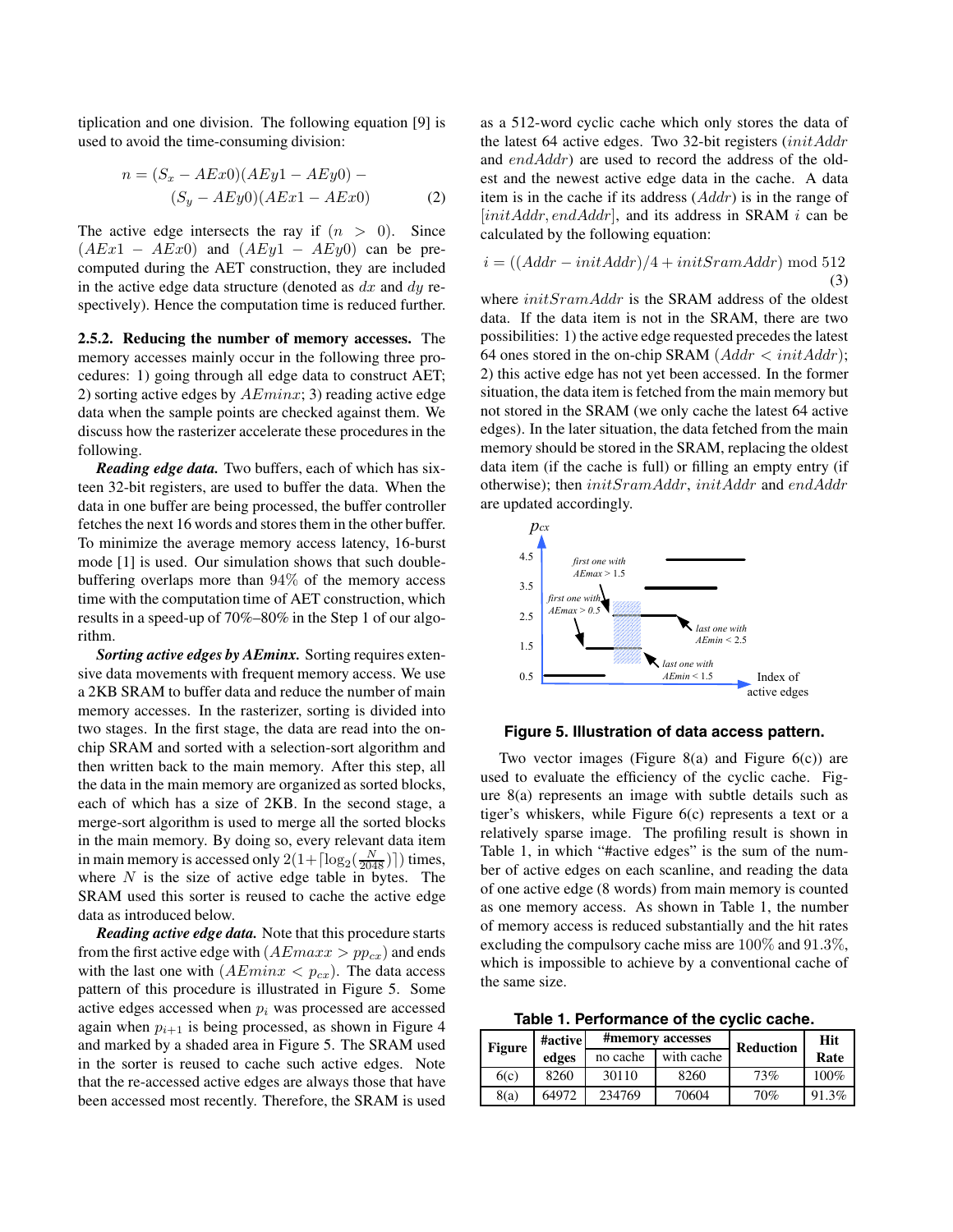tiplication and one division. The following equation [9] is used to avoid the time-consuming division:

$$
n = (S_x - AEx0)(AEy1 - AEy0) -
$$
  

$$
(S_y - AEy0)(AEx1 - AEx0)
$$
 (2)

The active edge intersects the ray if  $(n > 0)$ . Since  $(AEx1 - AEx0)$  and  $(AEy1 - AEy0)$  can be precomputed during the AET construction, they are included in the active edge data structure (denoted as *dx* and *dy* respectively). Hence the computation time is reduced further.

**2.5.2. Reducing the number of memory accesses.** The memory accesses mainly occur in the following three procedures: 1) going through all edge data to construct AET; 2) sorting active edges by *AEminx*; 3) reading active edge data when the sample points are checked against them. We discuss how the rasterizer accelerate these procedures in the following.

*Reading edge data.* Two buffers, each of which has sixteen 32-bit registers, are used to buffer the data. When the data in one buffer are being processed, the buffer controller fetches the next 16 words and stores them in the other buffer. To minimize the average memory access latency, 16-burst mode [1] is used. Our simulation shows that such doublebuffering overlaps more than 94% of the memory access time with the computation time of AET construction, which results in a speed-up of 70%–80% in the Step 1 of our algorithm.

*Sorting active edges by AEminx.* Sorting requires extensive data movements with frequent memory access. We use a 2KB SRAM to buffer data and reduce the number of main memory accesses. In the rasterizer, sorting is divided into two stages. In the first stage, the data are read into the onchip SRAM and sorted with a selection-sort algorithm and then written back to the main memory. After this step, all the data in the main memory are organized as sorted blocks, each of which has a size of 2KB. In the second stage, a merge-sort algorithm is used to merge all the sorted blocks in the main memory. By doing so, every relevant data item in main memory is accessed only  $2(1 + \lceil \log_2(\frac{N}{2048}) \rceil)$  times, where *N* is the size of active edge table in bytes. The SRAM used this sorter is reused to cache the active edge data as introduced below.

*Reading active edge data.* Note that this procedure starts from the first active edge with  $(AEmax > pp_{cx})$  and ends with the last one with  $(AEminx < p_{cx})$ . The data access pattern of this procedure is illustrated in Figure 5. Some active edges accessed when *p<sup>i</sup>* was processed are accessed again when  $p_{i+1}$  is being processed, as shown in Figure 4 and marked by a shaded area in Figure 5. The SRAM used in the sorter is reused to cache such active edges. Note that the re-accessed active edges are always those that have been accessed most recently. Therefore, the SRAM is used as a 512-word cyclic cache which only stores the data of the latest 64 active edges. Two 32-bit registers (*initAddr* and *endAddr*) are used to record the address of the oldest and the newest active edge data in the cache. A data item is in the cache if its address (*Addr*) is in the range of [*initAddr, endAddr*], and its address in SRAM *i* can be calculated by the following equation:

$$
i = \left( \left( Addr - initAddr \right) / 4 + initSramAddr \right) \bmod{512}
$$
\n(3)

where *initSramAddr* is the SRAM address of the oldest data. If the data item is not in the SRAM, there are two possibilities: 1) the active edge requested precedes the latest 64 ones stored in the on-chip SRAM  $(Addr < initAddr)$ ; 2) this active edge has not yet been accessed. In the former situation, the data item is fetched from the main memory but not stored in the SRAM (we only cache the latest 64 active edges). In the later situation, the data fetched from the main memory should be stored in the SRAM, replacing the oldest data item (if the cache is full) or filling an empty entry (if otherwise); then *initSramAddr*, *initAddr* and *endAddr* are updated accordingly.



#### **Figure 5. Illustration of data access pattern.**

Two vector images (Figure 8(a) and Figure  $6(c)$ ) are used to evaluate the efficiency of the cyclic cache. Figure 8(a) represents an image with subtle details such as tiger's whiskers, while Figure 6(c) represents a text or a relatively sparse image. The profiling result is shown in Table 1, in which "#active edges" is the sum of the number of active edges on each scanline, and reading the data of one active edge (8 words) from main memory is counted as one memory access. As shown in Table 1, the number of memory access is reduced substantially and the hit rates excluding the compulsory cache miss are 100% and 91*.*3%, which is impossible to achieve by a conventional cache of the same size.

**Table 1. Performance of the cyclic cache.**

| <b>Figure</b> | #active |          | #memory accesses | <b>Reduction</b> | <b>Hit</b> |
|---------------|---------|----------|------------------|------------------|------------|
|               | edges   | no cache | with cache       |                  | Rate       |
| 6(c)          | 8260    | 30110    | 8260             | 73%              | $100\%$    |
| 8(a)          | 64972   | 234769   | 70604            | 70%              | 91.3%      |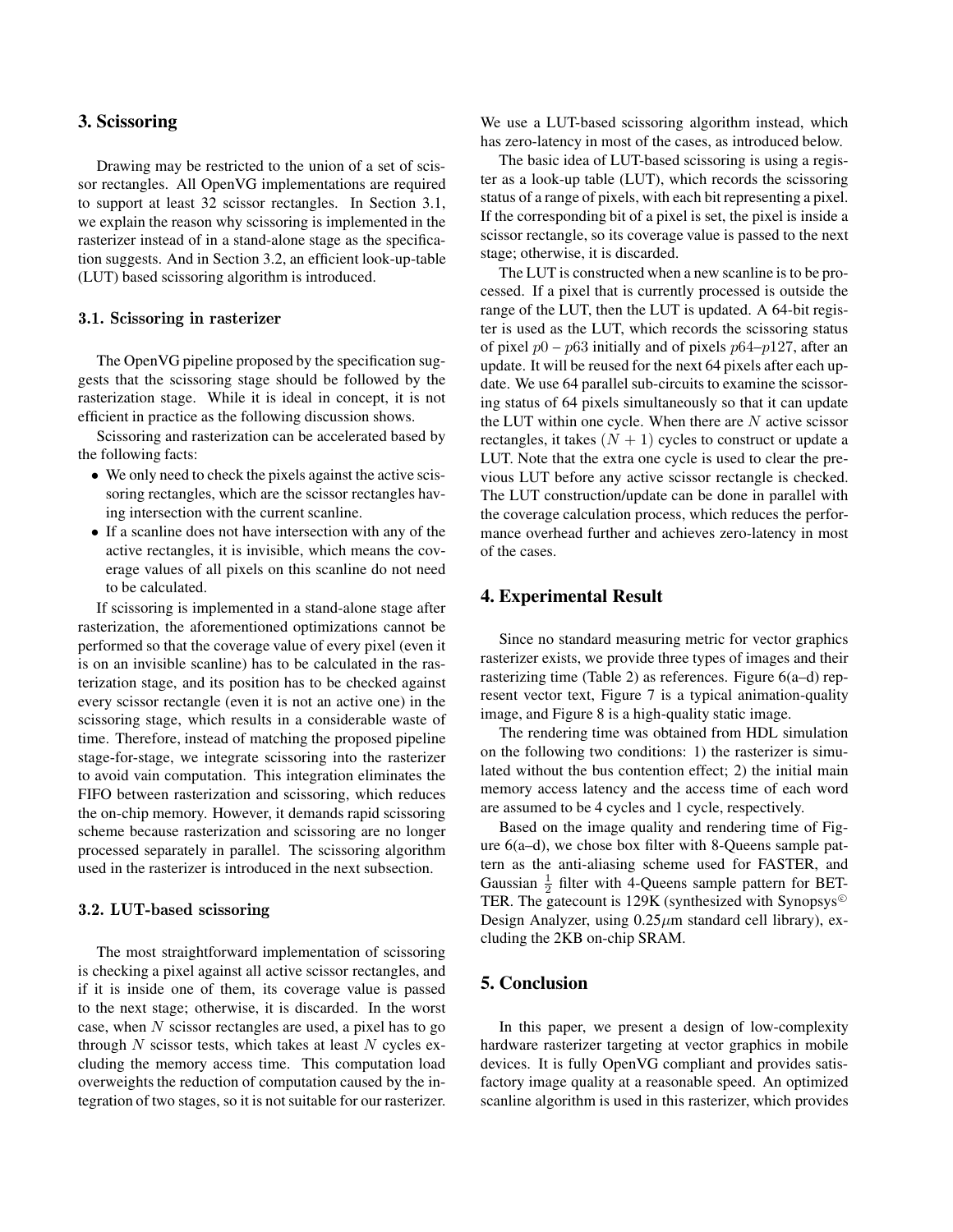## **3. Scissoring**

Drawing may be restricted to the union of a set of scissor rectangles. All OpenVG implementations are required to support at least 32 scissor rectangles. In Section 3.1, we explain the reason why scissoring is implemented in the rasterizer instead of in a stand-alone stage as the specification suggests. And in Section 3.2, an efficient look-up-table (LUT) based scissoring algorithm is introduced.

#### **3.1. Scissoring in rasterizer**

The OpenVG pipeline proposed by the specification suggests that the scissoring stage should be followed by the rasterization stage. While it is ideal in concept, it is not efficient in practice as the following discussion shows.

Scissoring and rasterization can be accelerated based by the following facts:

- We only need to check the pixels against the active scissoring rectangles, which are the scissor rectangles having intersection with the current scanline.
- If a scanline does not have intersection with any of the active rectangles, it is invisible, which means the coverage values of all pixels on this scanline do not need to be calculated.

If scissoring is implemented in a stand-alone stage after rasterization, the aforementioned optimizations cannot be performed so that the coverage value of every pixel (even it is on an invisible scanline) has to be calculated in the rasterization stage, and its position has to be checked against every scissor rectangle (even it is not an active one) in the scissoring stage, which results in a considerable waste of time. Therefore, instead of matching the proposed pipeline stage-for-stage, we integrate scissoring into the rasterizer to avoid vain computation. This integration eliminates the FIFO between rasterization and scissoring, which reduces the on-chip memory. However, it demands rapid scissoring scheme because rasterization and scissoring are no longer processed separately in parallel. The scissoring algorithm used in the rasterizer is introduced in the next subsection.

## **3.2. LUT-based scissoring**

The most straightforward implementation of scissoring is checking a pixel against all active scissor rectangles, and if it is inside one of them, its coverage value is passed to the next stage; otherwise, it is discarded. In the worst case, when *N* scissor rectangles are used, a pixel has to go through *N* scissor tests, which takes at least *N* cycles excluding the memory access time. This computation load overweights the reduction of computation caused by the integration of two stages, so it is not suitable for our rasterizer.

We use a LUT-based scissoring algorithm instead, which has zero-latency in most of the cases, as introduced below.

The basic idea of LUT-based scissoring is using a register as a look-up table (LUT), which records the scissoring status of a range of pixels, with each bit representing a pixel. If the corresponding bit of a pixel is set, the pixel is inside a scissor rectangle, so its coverage value is passed to the next stage; otherwise, it is discarded.

The LUT is constructed when a new scanline is to be processed. If a pixel that is currently processed is outside the range of the LUT, then the LUT is updated. A 64-bit register is used as the LUT, which records the scissoring status of pixel *p*0 – *p*63 initially and of pixels *p*64–*p*127, after an update. It will be reused for the next 64 pixels after each update. We use 64 parallel sub-circuits to examine the scissoring status of 64 pixels simultaneously so that it can update the LUT within one cycle. When there are *N* active scissor rectangles, it takes  $(N + 1)$  cycles to construct or update a LUT. Note that the extra one cycle is used to clear the previous LUT before any active scissor rectangle is checked. The LUT construction/update can be done in parallel with the coverage calculation process, which reduces the performance overhead further and achieves zero-latency in most of the cases.

## **4. Experimental Result**

Since no standard measuring metric for vector graphics rasterizer exists, we provide three types of images and their rasterizing time (Table 2) as references. Figure 6(a–d) represent vector text, Figure 7 is a typical animation-quality image, and Figure 8 is a high-quality static image.

The rendering time was obtained from HDL simulation on the following two conditions: 1) the rasterizer is simulated without the bus contention effect; 2) the initial main memory access latency and the access time of each word are assumed to be 4 cycles and 1 cycle, respectively.

Based on the image quality and rendering time of Figure 6(a–d), we chose box filter with 8-Queens sample pattern as the anti-aliasing scheme used for FASTER, and Gaussian  $\frac{1}{2}$  filter with 4-Queens sample pattern for BET-TER. The gatecount is 129K (synthesized with Synopsys<sup> $\odot$ </sup> Design Analyzer, using 0.25*µ*m standard cell library), excluding the 2KB on-chip SRAM.

# **5. Conclusion**

In this paper, we present a design of low-complexity hardware rasterizer targeting at vector graphics in mobile devices. It is fully OpenVG compliant and provides satisfactory image quality at a reasonable speed. An optimized scanline algorithm is used in this rasterizer, which provides